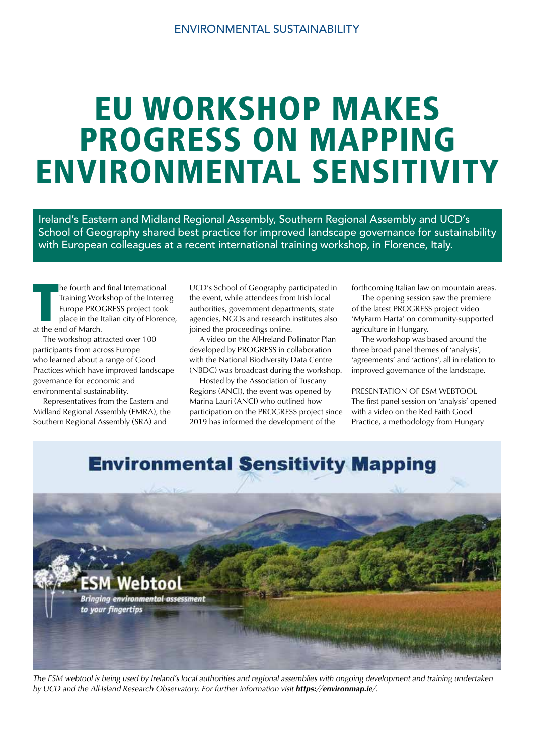# EU WORKSHOP MAKES PROGRESS ON MAPPING ENVIRONMENTAL SENSITIVITY

Ireland's Eastern and Midland Regional Assembly, Southern Regional Assembly and UCD's School of Geography shared best practice for improved landscape governance for sustainability with European colleagues at a recent international training workshop, in Florence, Italy.

**Training Works**<br> **Training Works**<br> **Training Works**<br> **Training Property PRO**<br> **Training Property**<br> **Training Property**<br> **Training Property**<br> **Training Property**<br> **Training Property** he fourth and final International Training Workshop of the Interreg Europe PROGRESS project took place in the Italian city of Florence,

 The workshop attracted over 100 participants from across Europe who learned about a range of Good Practices which have improved landscape governance for economic and environmental sustainability.

 Representatives from the Eastern and Midland Regional Assembly (EMRA), the Southern Regional Assembly (SRA) and

UCD's School of Geography participated in the event, while attendees from Irish local authorities, government departments, state agencies, NGOs and research institutes also joined the proceedings online.

 A video on the All-Ireland Pollinator Plan developed by PROGRESS in collaboration with the National Biodiversity Data Centre (NBDC) was broadcast during the workshop.

 Hosted by the Association of Tuscany Regions (ANCI), the event was opened by Marina Lauri (ANCI) who outlined how participation on the PROGRESS project since 2019 has informed the development of the

forthcoming Italian law on mountain areas.

 The opening session saw the premiere of the latest PROGRESS project video 'MyFarm Harta' on community-supported agriculture in Hungary.

 The workshop was based around the three broad panel themes of 'analysis', 'agreements' and 'actions', all in relation to improved governance of the landscape.

PRESENTATION OF ESM WEBTOOL The first panel session on 'analysis' opened with a video on the Red Faith Good Practice, a methodology from Hungary

## **Environmental Sensitivity Mapping**



The ESM webtool is being used by Ireland's local authorities and regional assemblies with ongoing development and training undertaken by UCD and the All-Island Research Observatory. For further information visit https://environmap.ie/.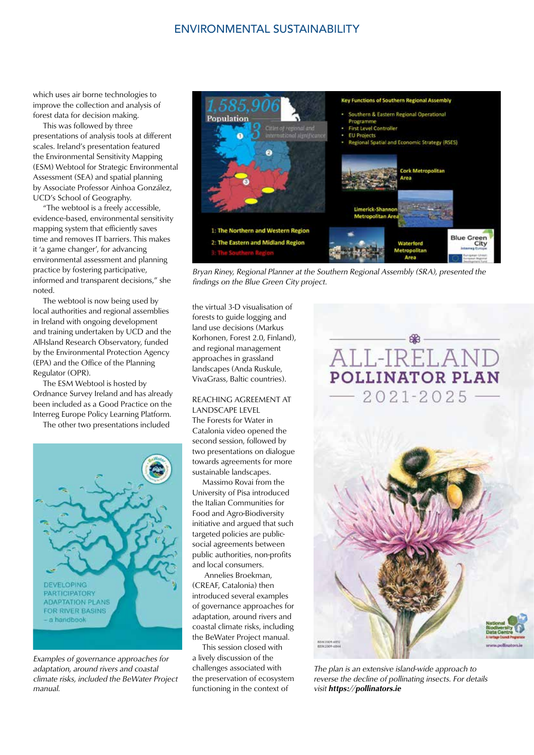#### ENVIRONMENTAL SUSTAINABILITY

which uses air borne technologies to improve the collection and analysis of forest data for decision making.

 This was followed by three presentations of analysis tools at different scales. Ireland's presentation featured the Environmental Sensitivity Mapping (ESM) Webtool for Strategic Environmental Assessment (SEA) and spatial planning by Associate Professor Ainhoa González, UCD's School of Geography.

 "The webtool is a freely accessible, evidence-based, environmental sensitivity mapping system that efficiently saves time and removes IT barriers. This makes it 'a game changer', for advancing environmental assessment and planning practice by fostering participative, informed and transparent decisions," she noted.

 The webtool is now being used by local authorities and regional assemblies in Ireland with ongoing development and training undertaken by UCD and the All-Island Research Observatory, funded by the Environmental Protection Agency (EPA) and the Office of the Planning Regulator (OPR).

 The ESM Webtool is hosted by Ordnance Survey Ireland and has already been included as a Good Practice on the Interreg Europe Policy Learning Platform.

The other two presentations included



Examples of governance approaches for adaptation, around rivers and coastal climate risks, included the BeWater Project manual.



Bryan Riney, Regional Planner at the Southern Regional Assembly (SRA), presented the findings on the Blue Green City project.

the virtual 3-D visualisation of forests to guide logging and land use decisions (Markus Korhonen, Forest 2.0, Finland), and regional management approaches in grassland landscapes (Anda Ruskule, VivaGrass, Baltic countries).

REACHING AGREEMENT AT LANDSCAPE LEVEL The Forests for Water in Catalonia video opened the second session, followed by two presentations on dialogue towards agreements for more sustainable landscapes.

 Massimo Rovai from the University of Pisa introduced the Italian Communities for Food and Agro-Biodiversity initiative and argued that such targeted policies are publicsocial agreements between public authorities, non-profits and local consumers.

 Annelies Broekman, (CREAF, Catalonia) then introduced several examples of governance approaches for adaptation, around rivers and coastal climate risks, including the BeWater Project manual.

 This session closed with a lively discussion of the challenges associated with the preservation of ecosystem functioning in the context of

### ALL-IRELANI **POLLINATOR PLAN**  $2021 - 2025$



The plan is an extensive island-wide approach to reverse the decline of pollinating insects. For details visit https://pollinators.ie